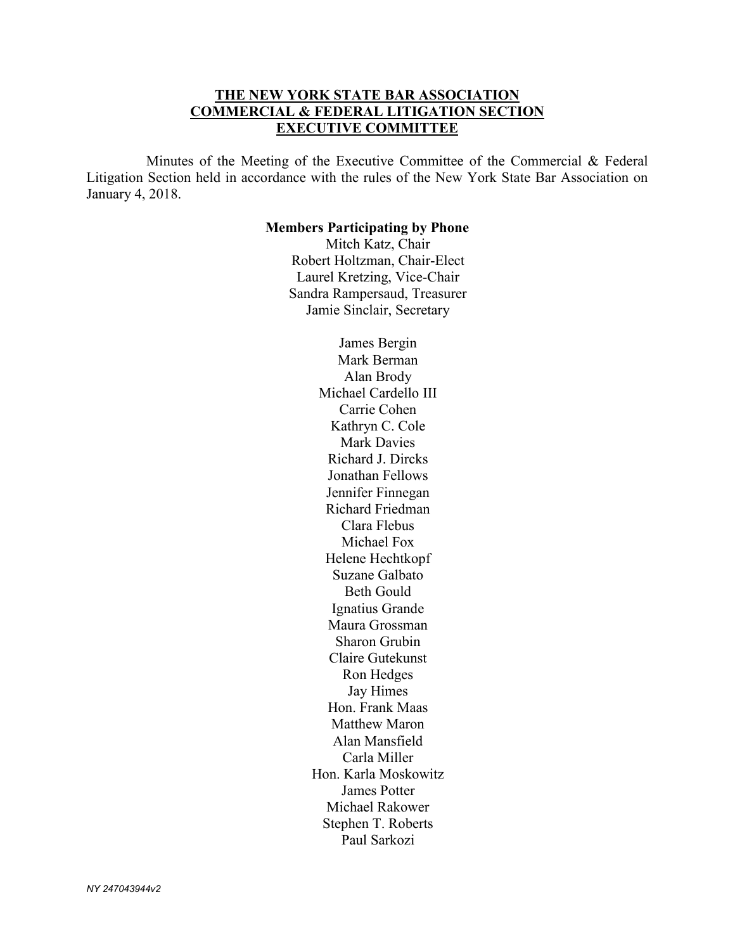# **THE NEW YORK STATE BAR ASSOCIATION COMMERCIAL & FEDERAL LITIGATION SECTION EXECUTIVE COMMITTEE**

 Minutes of the Meeting of the Executive Committee of the Commercial & Federal Litigation Section held in accordance with the rules of the New York State Bar Association on January 4, 2018.

#### **Members Participating by Phone**

Mitch Katz, Chair Robert Holtzman, Chair-Elect Laurel Kretzing, Vice-Chair Sandra Rampersaud, Treasurer Jamie Sinclair, Secretary

> James Bergin Mark Berman Alan Brody Michael Cardello III Carrie Cohen Kathryn C. Cole Mark Davies Richard J. Dircks Jonathan Fellows Jennifer Finnegan Richard Friedman Clara Flebus Michael Fox Helene Hechtkopf Suzane Galbato Beth Gould Ignatius Grande Maura Grossman Sharon Grubin Claire Gutekunst Ron Hedges Jay Himes Hon. Frank Maas Matthew Maron Alan Mansfield Carla Miller Hon. Karla Moskowitz James Potter Michael Rakower Stephen T. Roberts Paul Sarkozi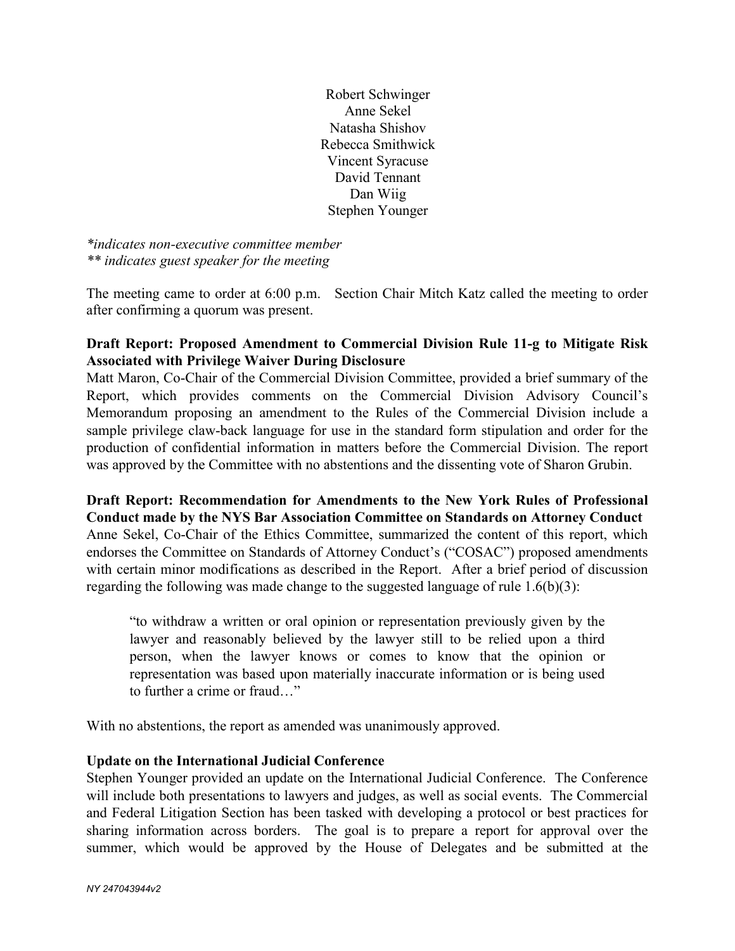Robert Schwinger Anne Sekel Natasha Shishov Rebecca Smithwick Vincent Syracuse David Tennant Dan Wiig Stephen Younger

*\*indicates non-executive committee member \*\* indicates guest speaker for the meeting* 

The meeting came to order at 6:00 p.m. Section Chair Mitch Katz called the meeting to order after confirming a quorum was present.

# **Draft Report: Proposed Amendment to Commercial Division Rule 11-g to Mitigate Risk Associated with Privilege Waiver During Disclosure**

Matt Maron, Co-Chair of the Commercial Division Committee, provided a brief summary of the Report, which provides comments on the Commercial Division Advisory Council's Memorandum proposing an amendment to the Rules of the Commercial Division include a sample privilege claw-back language for use in the standard form stipulation and order for the production of confidential information in matters before the Commercial Division. The report was approved by the Committee with no abstentions and the dissenting vote of Sharon Grubin.

**Draft Report: Recommendation for Amendments to the New York Rules of Professional Conduct made by the NYS Bar Association Committee on Standards on Attorney Conduct** Anne Sekel, Co-Chair of the Ethics Committee, summarized the content of this report, which endorses the Committee on Standards of Attorney Conduct's ("COSAC") proposed amendments with certain minor modifications as described in the Report. After a brief period of discussion regarding the following was made change to the suggested language of rule 1.6(b)(3):

"to withdraw a written or oral opinion or representation previously given by the lawyer and reasonably believed by the lawyer still to be relied upon a third person, when the lawyer knows or comes to know that the opinion or representation was based upon materially inaccurate information or is being used to further a crime or fraud…"

With no abstentions, the report as amended was unanimously approved.

# **Update on the International Judicial Conference**

Stephen Younger provided an update on the International Judicial Conference. The Conference will include both presentations to lawyers and judges, as well as social events. The Commercial and Federal Litigation Section has been tasked with developing a protocol or best practices for sharing information across borders. The goal is to prepare a report for approval over the summer, which would be approved by the House of Delegates and be submitted at the